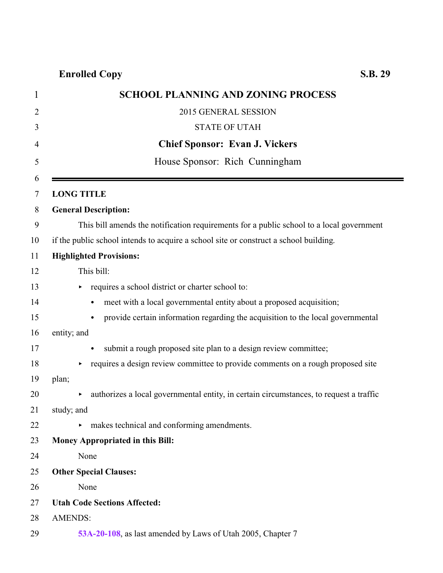## **Enrolled Copy S.B. 29**

| <b>SCHOOL PLANNING AND ZONING PROCESS</b>                                                    |
|----------------------------------------------------------------------------------------------|
| 2015 GENERAL SESSION                                                                         |
| <b>STATE OF UTAH</b>                                                                         |
| <b>Chief Sponsor: Evan J. Vickers</b>                                                        |
| House Sponsor: Rich Cunningham                                                               |
|                                                                                              |
| <b>LONG TITLE</b>                                                                            |
| <b>General Description:</b>                                                                  |
| This bill amends the notification requirements for a public school to a local government     |
| if the public school intends to acquire a school site or construct a school building.        |
| <b>Highlighted Provisions:</b>                                                               |
| This bill:                                                                                   |
| requires a school district or charter school to:                                             |
| meet with a local governmental entity about a proposed acquisition;                          |
| provide certain information regarding the acquisition to the local governmental<br>$\bullet$ |
| entity; and                                                                                  |
| submit a rough proposed site plan to a design review committee;                              |
| requires a design review committee to provide comments on a rough proposed site              |
| plan;                                                                                        |
| authorizes a local governmental entity, in certain circumstances, to request a traffic       |
| study; and                                                                                   |
| makes technical and conforming amendments.                                                   |
| <b>Money Appropriated in this Bill:</b>                                                      |
| None                                                                                         |
| <b>Other Special Clauses:</b>                                                                |
| None                                                                                         |
| <b>Utah Code Sections Affected:</b>                                                          |
| <b>AMENDS:</b>                                                                               |
| 53A-20-108, as last amended by Laws of Utah 2005, Chapter 7                                  |
|                                                                                              |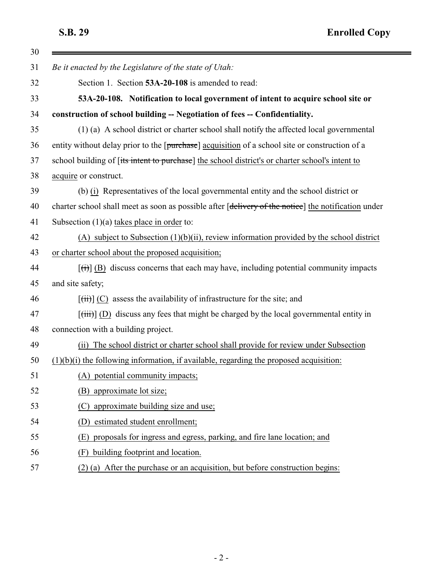$\blacksquare$ 

<span id="page-1-0"></span>

| 30 |                                                                                                          |
|----|----------------------------------------------------------------------------------------------------------|
| 31 | Be it enacted by the Legislature of the state of Utah:                                                   |
| 32 | Section 1. Section 53A-20-108 is amended to read:                                                        |
| 33 | 53A-20-108. Notification to local government of intent to acquire school site or                         |
| 34 | construction of school building -- Negotiation of fees -- Confidentiality.                               |
| 35 | (1) (a) A school district or charter school shall notify the affected local governmental                 |
| 36 | entity without delay prior to the [purchase] acquisition of a school site or construction of a           |
| 37 | school building of [its intent to purchase] the school district's or charter school's intent to          |
| 38 | acquire or construct.                                                                                    |
| 39 | (b) (i) Representatives of the local governmental entity and the school district or                      |
| 40 | charter school shall meet as soon as possible after [delivery of the notice] the notification under      |
| 41 | Subsection $(1)(a)$ takes place in order to:                                                             |
| 42 | (A) subject to Subsection $(1)(b)(ii)$ , review information provided by the school district              |
| 43 | or charter school about the proposed acquisition;                                                        |
| 44 | $[\vec{t}]$ (B) discuss concerns that each may have, including potential community impacts               |
| 45 | and site safety;                                                                                         |
| 46 | $[\overrightarrow{t})]$ (C) assess the availability of infrastructure for the site; and                  |
| 47 | $[\overrightarrow{tiii}]$ (D) discuss any fees that might be charged by the local governmental entity in |
| 48 | connection with a building project.                                                                      |
| 49 | (ii) The school district or charter school shall provide for review under Subsection                     |
| 50 | $(1)(b)(i)$ the following information, if available, regarding the proposed acquisition:                 |
| 51 | potential community impacts;<br>(A)                                                                      |
| 52 | approximate lot size;<br>(B)                                                                             |
| 53 | approximate building size and use;<br>(C)                                                                |
| 54 | estimated student enrollment;<br>(D)                                                                     |
| 55 | proposals for ingress and egress, parking, and fire lane location; and<br>(E)                            |
| 56 | building footprint and location.<br>(F)                                                                  |
| 57 | (2) (a) After the purchase or an acquisition, but before construction begins:                            |